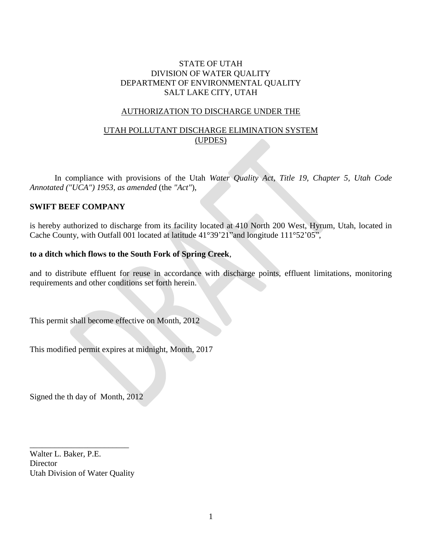## STATE OF UTAH DIVISION OF WATER QUALITY DEPARTMENT OF ENVIRONMENTAL QUALITY SALT LAKE CITY, UTAH

#### AUTHORIZATION TO DISCHARGE UNDER THE

# UTAH POLLUTANT DISCHARGE ELIMINATION SYSTEM (UPDES)

In compliance with provisions of the Utah *Water Quality Act, Title 19, Chapter 5, Utah Code Annotated ("UCA") 1953, as amended* (the *"Act"*),

#### **SWIFT BEEF COMPANY**

is hereby authorized to discharge from its facility located at 410 North 200 West, Hyrum, Utah, located in Cache County, with Outfall 001 located at latitude 41°39'21"and longitude 111°52'05",

#### **to a ditch which flows to the South Fork of Spring Creek**,

and to distribute effluent for reuse in accordance with discharge points, effluent limitations, monitoring requirements and other conditions set forth herein.

This permit shall become effective on Month, 2012

This modified permit expires at midnight, Month, 2017

Signed the th day of Month, 2012

Walter L. Baker, P.E. Director Utah Division of Water Quality

\_\_\_\_\_\_\_\_\_\_\_\_\_\_\_\_\_\_\_\_\_\_\_\_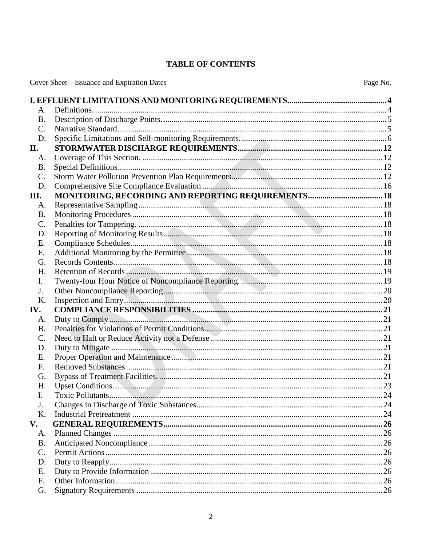# **TABLE OF CONTENTS**

|  | <b>Cover Sheet—Issuance and Expiration Dates</b> |  |  |
|--|--------------------------------------------------|--|--|
|  |                                                  |  |  |

| A.             |  |
|----------------|--|
| <b>B.</b>      |  |
| C.             |  |
| D.             |  |
| П.             |  |
| A.             |  |
| <b>B.</b>      |  |
| $\mathbf{C}$ . |  |
| D.             |  |
| Ш.             |  |
| A.             |  |
| <b>B.</b>      |  |
| C.             |  |
| D.             |  |
| Ε.             |  |
| F.             |  |
| G.             |  |
| Н.             |  |
| Ι.             |  |
| J.             |  |
|                |  |
| K.             |  |
| IV.            |  |
| A.             |  |
| <b>B.</b>      |  |
| $\mathbf{C}$ . |  |
| D.             |  |
| Ε.             |  |
| F.             |  |
| G.             |  |
| Н.             |  |
| Ι.             |  |
| J.             |  |
| K.             |  |
| V.             |  |
| A.             |  |
| <b>B.</b>      |  |
| $\mathbf{C}$ . |  |
| D.             |  |
| E.             |  |
| F.<br>G.       |  |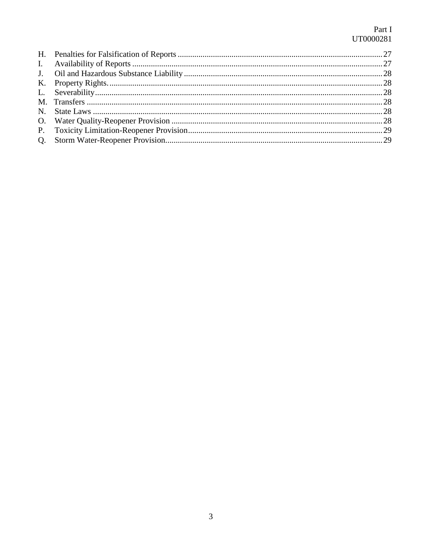# Part I UT0000281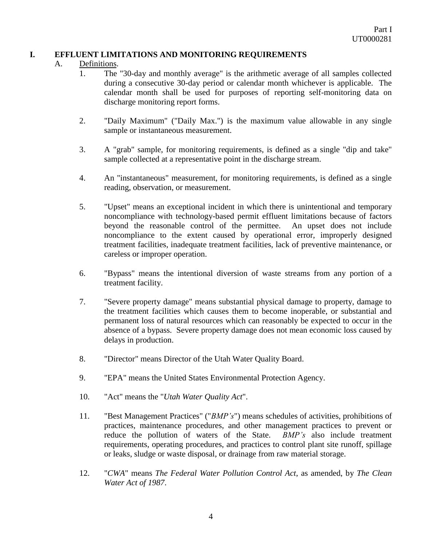## <span id="page-3-0"></span>**I. EFFLUENT LIMITATIONS AND MONITORING REQUIREMENTS**

#### <span id="page-3-1"></span>A. Definitions.

- 1. The "30-day and monthly average" is the arithmetic average of all samples collected during a consecutive 30-day period or calendar month whichever is applicable. The calendar month shall be used for purposes of reporting self-monitoring data on discharge monitoring report forms.
- 2. "Daily Maximum" ("Daily Max.") is the maximum value allowable in any single sample or instantaneous measurement.
- 3. A "grab" sample, for monitoring requirements, is defined as a single "dip and take" sample collected at a representative point in the discharge stream.
- 4. An "instantaneous" measurement, for monitoring requirements, is defined as a single reading, observation, or measurement.
- 5. "Upset" means an exceptional incident in which there is unintentional and temporary noncompliance with technology-based permit effluent limitations because of factors beyond the reasonable control of the permittee. An upset does not include noncompliance to the extent caused by operational error, improperly designed treatment facilities, inadequate treatment facilities, lack of preventive maintenance, or careless or improper operation.
- 6. "Bypass" means the intentional diversion of waste streams from any portion of a treatment facility.
- 7. "Severe property damage" means substantial physical damage to property, damage to the treatment facilities which causes them to become inoperable, or substantial and permanent loss of natural resources which can reasonably be expected to occur in the absence of a bypass. Severe property damage does not mean economic loss caused by delays in production.
- 8. "Director" means Director of the Utah Water Quality Board.
- 9. "EPA" means the United States Environmental Protection Agency.
- 10. "Act" means the "*Utah Water Quality Act*".
- 11. "Best Management Practices" ("*BMP's*") means schedules of activities, prohibitions of practices, maintenance procedures, and other management practices to prevent or reduce the pollution of waters of the State. *BMP's* also include treatment requirements, operating procedures, and practices to control plant site runoff, spillage or leaks, sludge or waste disposal, or drainage from raw material storage.
- 12. "*CWA*" means *The Federal Water Pollution Control Act*, as amended, by *The Clean Water Act of 1987*.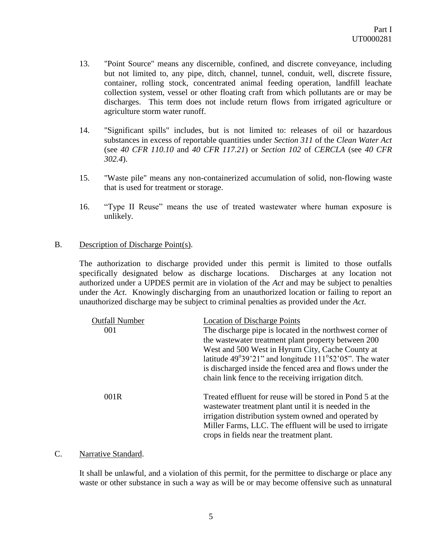- 13. "Point Source" means any discernible, confined, and discrete conveyance, including but not limited to, any pipe, ditch, channel, tunnel, conduit, well, discrete fissure, container, rolling stock, concentrated animal feeding operation, landfill leachate collection system, vessel or other floating craft from which pollutants are or may be discharges. This term does not include return flows from irrigated agriculture or agriculture storm water runoff.
- 14. "Significant spills" includes, but is not limited to: releases of oil or hazardous substances in excess of reportable quantities under *Section 311* of the *Clean Water Act* (see *40 CFR 110.10* and *40 CFR 117.21*) or *Section 102* of *CERCLA* (see *40 CFR 302.4*).
- 15. "Waste pile" means any non-containerized accumulation of solid, non-flowing waste that is used for treatment or storage.
- 16. "Type II Reuse" means the use of treated wastewater where human exposure is unlikely.

#### <span id="page-4-0"></span>B. Description of Discharge Point(s).

The authorization to discharge provided under this permit is limited to those outfalls specifically designated below as discharge locations. Discharges at any location not authorized under a UPDES permit are in violation of the *Act* and may be subject to penalties under the *Act*. Knowingly discharging from an unauthorized location or failing to report an unauthorized discharge may be subject to criminal penalties as provided under the *Act*.

| <b>Outfall Number</b><br>001 | <b>Location of Discharge Points</b><br>The discharge pipe is located in the northwest corner of<br>the wastewater treatment plant property between 200<br>West and 500 West in Hyrum City, Cache County at<br>latitude $49^{\circ}39'21''$ and longitude $111^{\circ}52'05''$ . The water<br>is discharged inside the fenced area and flows under the<br>chain link fence to the receiving irrigation ditch. |
|------------------------------|--------------------------------------------------------------------------------------------------------------------------------------------------------------------------------------------------------------------------------------------------------------------------------------------------------------------------------------------------------------------------------------------------------------|
| 001R                         | Treated effluent for reuse will be stored in Pond 5 at the<br>was tewater treatment plant until it is needed in the<br>irrigation distribution system owned and operated by<br>Miller Farms, LLC. The effluent will be used to irrigate<br>crops in fields near the treatment plant.                                                                                                                         |

#### <span id="page-4-1"></span>C. Narrative Standard.

It shall be unlawful, and a violation of this permit, for the permittee to discharge or place any waste or other substance in such a way as will be or may become offensive such as unnatural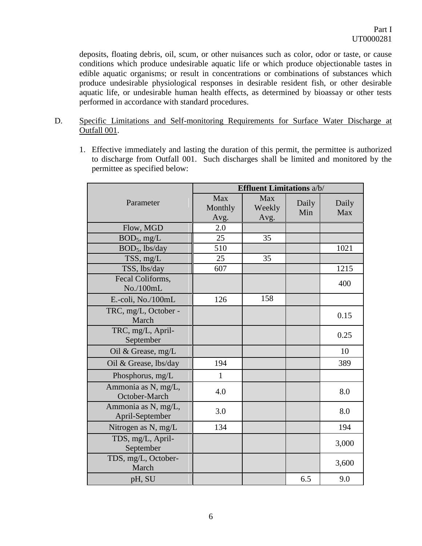deposits, floating debris, oil, scum, or other nuisances such as color, odor or taste, or cause conditions which produce undesirable aquatic life or which produce objectionable tastes in edible aquatic organisms; or result in concentrations or combinations of substances which produce undesirable physiological responses in desirable resident fish, or other desirable aquatic life, or undesirable human health effects, as determined by bioassay or other tests performed in accordance with standard procedures.

- <span id="page-5-0"></span>D. Specific Limitations and Self-monitoring Requirements for Surface Water Discharge at Outfall 001.
	- 1. Effective immediately and lasting the duration of this permit, the permittee is authorized to discharge from Outfall 001. Such discharges shall be limited and monitored by the permittee as specified below:

|                                        | <b>Effluent Limitations a/b/</b> |                       |              |              |  |
|----------------------------------------|----------------------------------|-----------------------|--------------|--------------|--|
| Parameter                              | Max<br>Monthly<br>Avg.           | Max<br>Weekly<br>Avg. | Daily<br>Min | Daily<br>Max |  |
| Flow, MGD                              | 2.0                              |                       |              |              |  |
| BOD <sub>5</sub> , mg/L                | 25                               | 35                    |              |              |  |
| BOD <sub>5</sub> , lbs/day             | 510                              |                       |              | 1021         |  |
| TSS, mg/L                              | 25                               | 35                    |              |              |  |
| TSS, lbs/day                           | 607                              |                       |              | 1215         |  |
| Fecal Coliforms,<br>No./100mL          |                                  |                       |              | 400          |  |
| E.-coli, No./100mL                     | 126                              | 158                   |              |              |  |
| TRC, mg/L, October -<br>March          |                                  |                       |              | 0.15         |  |
| TRC, mg/L, April-<br>September         |                                  |                       |              | 0.25         |  |
| Oil & Grease, mg/L                     |                                  |                       |              | 10           |  |
| Oil & Grease, lbs/day                  | 194                              |                       |              | 389          |  |
| Phosphorus, mg/L                       | $\mathbf{1}$                     |                       |              |              |  |
| Ammonia as N, mg/L,<br>October-March   | 4.0                              |                       |              | 8.0          |  |
| Ammonia as N, mg/L,<br>April-September | 3.0                              |                       |              | 8.0          |  |
| Nitrogen as N, mg/L                    | 134                              |                       |              | 194          |  |
| TDS, mg/L, April-<br>September         |                                  |                       |              | 3,000        |  |
| TDS, mg/L, October-<br>March           |                                  |                       |              | 3,600        |  |
| pH, SU                                 |                                  |                       | 6.5          | 9.0          |  |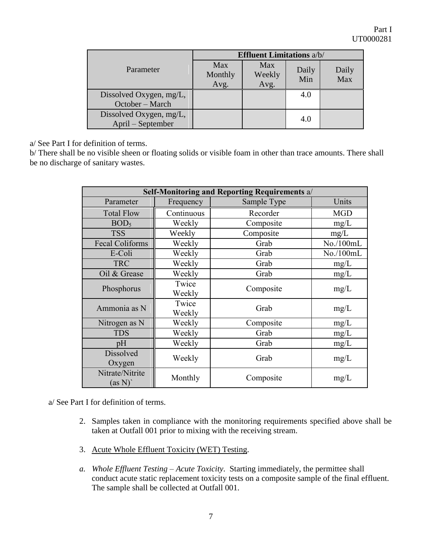|                                              | <b>Effluent Limitations a/b/</b> |                       |              |              |  |
|----------------------------------------------|----------------------------------|-----------------------|--------------|--------------|--|
| Parameter                                    | Max<br>Monthly<br>Avg.           | Max<br>Weekly<br>Avg. | Daily<br>Min | Daily<br>Max |  |
| Dissolved Oxygen, mg/L,<br>October – March   |                                  |                       | 4.0          |              |  |
| Dissolved Oxygen, mg/L,<br>April – September |                                  |                       | 4.0          |              |  |

a/ See Part I for definition of terms.

b/ There shall be no visible sheen or floating solids or visible foam in other than trace amounts. There shall be no discharge of sanitary wastes.

| Self-Monitoring and Reporting Requirements a/ |                 |             |            |  |  |  |
|-----------------------------------------------|-----------------|-------------|------------|--|--|--|
| Parameter                                     | Frequency       | Sample Type | Units      |  |  |  |
| <b>Total Flow</b>                             | Continuous      | Recorder    | <b>MGD</b> |  |  |  |
| BOD <sub>5</sub>                              | Weekly          | Composite   | mg/L       |  |  |  |
| <b>TSS</b>                                    | Weekly          | Composite   | mg/L       |  |  |  |
| <b>Fecal Coliforms</b>                        | Weekly          | Grab        | No./100mL  |  |  |  |
| E-Coli                                        | Weekly          | Grab        | No./100mL  |  |  |  |
| <b>TRC</b>                                    | Weekly          | Grab        | mg/L       |  |  |  |
| Oil & Grease                                  | Weekly          | Grab        | mg/L       |  |  |  |
| Phosphorus                                    | Twice<br>Weekly | Composite   | mg/L       |  |  |  |
| Ammonia as N                                  | Twice<br>Weekly | Grab        | mg/L       |  |  |  |
| Nitrogen as N                                 | Weekly          | Composite   | mg/L       |  |  |  |
| <b>TDS</b>                                    | Weekly          | Grab        | mg/L       |  |  |  |
| pH                                            | Weekly          | Grab        | mg/L       |  |  |  |
| <b>Dissolved</b><br>Oxygen                    | Weekly          | Grab        | mg/L       |  |  |  |
| Nitrate/Nitrite<br>(as N)'                    | Monthly         | Composite   | mg/L       |  |  |  |

a/ See Part I for definition of terms.

- 2. Samples taken in compliance with the monitoring requirements specified above shall be taken at Outfall 001 prior to mixing with the receiving stream.
- 3. Acute Whole Effluent Toxicity (WET) Testing.
- *a. Whole Effluent Testing – Acute Toxicity*. Starting immediately, the permittee shall conduct acute static replacement toxicity tests on a composite sample of the final effluent. The sample shall be collected at Outfall 001.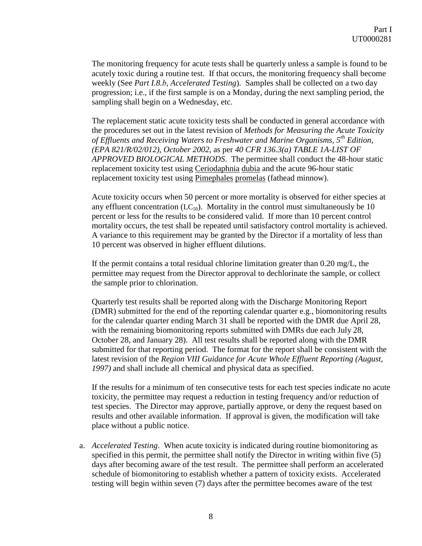The monitoring frequency for acute tests shall be quarterly unless a sample is found to be acutely toxic during a routine test. If that occurs, the monitoring frequency shall become weekly (See *Part I.8.b, Accelerated Testing*). Samples shall be collected on a two day progression; i.e., if the first sample is on a Monday, during the next sampling period, the sampling shall begin on a Wednesday, etc.

The replacement static acute toxicity tests shall be conducted in general accordance with the procedures set out in the latest revision of *Methods for Measuring the Acute Toxicity of Effluents and Receiving Waters to Freshwater and Marine Organisms, 5th Edition, (EPA 821/R/02/012), October 2002,* as per *40 CFR 136.3(a) TABLE 1A-LIST OF APPROVED BIOLOGICAL METHODS*. The permittee shall conduct the 48-hour static replacement toxicity test using Ceriodaphnia dubia and the acute 96-hour static replacement toxicity test using Pimephales promelas (fathead minnow).

Acute toxicity occurs when 50 percent or more mortality is observed for either species at any effluent concentration  $(LC_{50})$ . Mortality in the control must simultaneously be 10 percent or less for the results to be considered valid. If more than 10 percent control mortality occurs, the test shall be repeated until satisfactory control mortality is achieved. A variance to this requirement may be granted by the Director if a mortality of less than 10 percent was observed in higher effluent dilutions.

If the permit contains a total residual chlorine limitation greater than 0.20 mg/L, the permittee may request from the Director approval to dechlorinate the sample, or collect the sample prior to chlorination.

Quarterly test results shall be reported along with the Discharge Monitoring Report (DMR) submitted for the end of the reporting calendar quarter e.g., biomonitoring results for the calendar quarter ending March 31 shall be reported with the DMR due April 28, with the remaining biomonitoring reports submitted with DMRs due each July 28, October 28, and January 28). All test results shall be reported along with the DMR submitted for that reporting period. The format for the report shall be consistent with the latest revision of the *Region VIII Guidance for Acute Whole Effluent Reporting (August, 1997)* and shall include all chemical and physical data as specified.

If the results for a minimum of ten consecutive tests for each test species indicate no acute toxicity, the permittee may request a reduction in testing frequency and/or reduction of test species. The Director may approve, partially approve, or deny the request based on results and other available information. If approval is given, the modification will take place without a public notice.

a. *Accelerated Testing*. When acute toxicity is indicated during routine biomonitoring as specified in this permit, the permittee shall notify the Director in writing within five (5) days after becoming aware of the test result. The permittee shall perform an accelerated schedule of biomonitoring to establish whether a pattern of toxicity exists. Accelerated testing will begin within seven (7) days after the permittee becomes aware of the test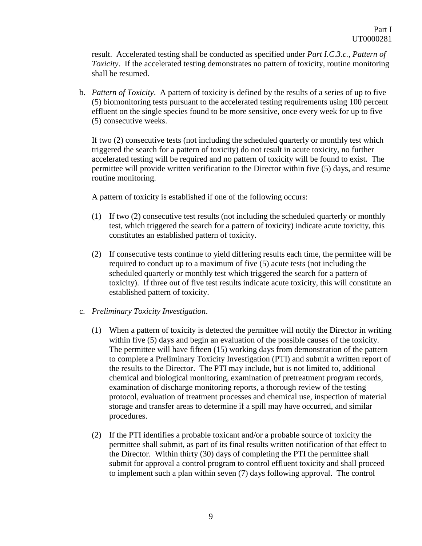result. Accelerated testing shall be conducted as specified under *Part I.C.3.c., Pattern of Toxicity*. If the accelerated testing demonstrates no pattern of toxicity, routine monitoring shall be resumed.

b. *Pattern of Toxicity*. A pattern of toxicity is defined by the results of a series of up to five (5) biomonitoring tests pursuant to the accelerated testing requirements using 100 percent effluent on the single species found to be more sensitive, once every week for up to five (5) consecutive weeks.

If two (2) consecutive tests (not including the scheduled quarterly or monthly test which triggered the search for a pattern of toxicity) do not result in acute toxicity, no further accelerated testing will be required and no pattern of toxicity will be found to exist. The permittee will provide written verification to the Director within five (5) days, and resume routine monitoring.

A pattern of toxicity is established if one of the following occurs:

- (1) If two (2) consecutive test results (not including the scheduled quarterly or monthly test, which triggered the search for a pattern of toxicity) indicate acute toxicity, this constitutes an established pattern of toxicity.
- (2) If consecutive tests continue to yield differing results each time, the permittee will be required to conduct up to a maximum of five (5) acute tests (not including the scheduled quarterly or monthly test which triggered the search for a pattern of toxicity). If three out of five test results indicate acute toxicity, this will constitute an established pattern of toxicity.
- c. *Preliminary Toxicity Investigation*.
	- (1) When a pattern of toxicity is detected the permittee will notify the Director in writing within five (5) days and begin an evaluation of the possible causes of the toxicity. The permittee will have fifteen (15) working days from demonstration of the pattern to complete a Preliminary Toxicity Investigation (PTI) and submit a written report of the results to the Director. The PTI may include, but is not limited to, additional chemical and biological monitoring, examination of pretreatment program records, examination of discharge monitoring reports, a thorough review of the testing protocol, evaluation of treatment processes and chemical use, inspection of material storage and transfer areas to determine if a spill may have occurred, and similar procedures.
	- (2) If the PTI identifies a probable toxicant and/or a probable source of toxicity the permittee shall submit, as part of its final results written notification of that effect to the Director. Within thirty (30) days of completing the PTI the permittee shall submit for approval a control program to control effluent toxicity and shall proceed to implement such a plan within seven (7) days following approval. The control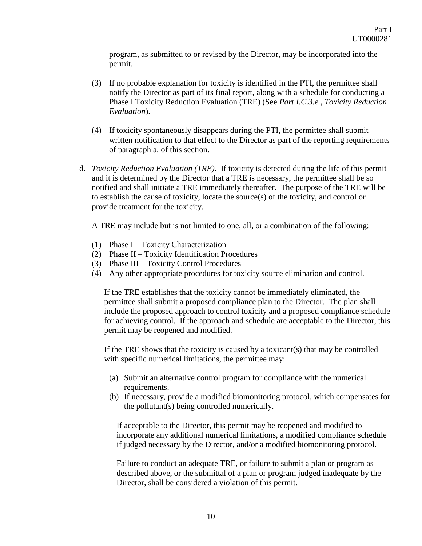program, as submitted to or revised by the Director, may be incorporated into the permit.

- (3) If no probable explanation for toxicity is identified in the PTI, the permittee shall notify the Director as part of its final report, along with a schedule for conducting a Phase I Toxicity Reduction Evaluation (TRE) (See *Part I.C.3.e., Toxicity Reduction Evaluation*).
- (4) If toxicity spontaneously disappears during the PTI, the permittee shall submit written notification to that effect to the Director as part of the reporting requirements of paragraph a. of this section.
- d. *Toxicity Reduction Evaluation (TRE)*. If toxicity is detected during the life of this permit and it is determined by the Director that a TRE is necessary, the permittee shall be so notified and shall initiate a TRE immediately thereafter. The purpose of the TRE will be to establish the cause of toxicity, locate the source(s) of the toxicity, and control or provide treatment for the toxicity.

A TRE may include but is not limited to one, all, or a combination of the following:

- (1) Phase I Toxicity Characterization
- (2) Phase II Toxicity Identification Procedures
- (3) Phase III Toxicity Control Procedures
- (4) Any other appropriate procedures for toxicity source elimination and control.

If the TRE establishes that the toxicity cannot be immediately eliminated, the permittee shall submit a proposed compliance plan to the Director. The plan shall include the proposed approach to control toxicity and a proposed compliance schedule for achieving control. If the approach and schedule are acceptable to the Director, this permit may be reopened and modified.

If the TRE shows that the toxicity is caused by a toxicant(s) that may be controlled with specific numerical limitations, the permittee may:

- (a) Submit an alternative control program for compliance with the numerical requirements.
- (b) If necessary, provide a modified biomonitoring protocol, which compensates for the pollutant(s) being controlled numerically.

If acceptable to the Director, this permit may be reopened and modified to incorporate any additional numerical limitations, a modified compliance schedule if judged necessary by the Director, and/or a modified biomonitoring protocol.

Failure to conduct an adequate TRE, or failure to submit a plan or program as described above, or the submittal of a plan or program judged inadequate by the Director, shall be considered a violation of this permit.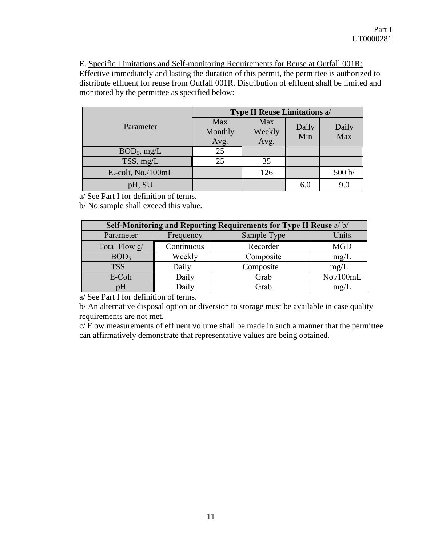E. Specific Limitations and Self-monitoring Requirements for Reuse at Outfall 001R: Effective immediately and lasting the duration of this permit, the permittee is authorized to distribute effluent for reuse from Outfall 001R. Distribution of effluent shall be limited and monitored by the permittee as specified below:

|                    | <b>Type II Reuse Limitations a/</b> |                |       |        |  |
|--------------------|-------------------------------------|----------------|-------|--------|--|
| Parameter          | Max                                 | Max            | Daily | Daily  |  |
|                    | Monthly<br>Avg.                     | Weekly<br>Avg. | Min   | Max    |  |
| $BOD_5$ , mg/L     | 25                                  |                |       |        |  |
| TSS, mg/L          | 25                                  | 35             |       |        |  |
| E.-coli, No./100mL |                                     | 126            |       | 500 b/ |  |
| pH, SU             |                                     |                | 6.0   | 9.0    |  |

<span id="page-10-0"></span>a/ See Part I for definition of terms.

b/ No sample shall exceed this value.

| Self-Monitoring and Reporting Requirements for Type II Reuse a/b/ |            |             |            |  |  |  |
|-------------------------------------------------------------------|------------|-------------|------------|--|--|--|
| Parameter                                                         | Frequency  | Sample Type | Units      |  |  |  |
| Total Flow c/                                                     | Continuous | Recorder    | <b>MGD</b> |  |  |  |
| BOD <sub>5</sub>                                                  | Weekly     | Composite   | mg/L       |  |  |  |
| <b>TSS</b>                                                        | Daily      | Composite   | mg/L       |  |  |  |
| E-Coli                                                            | Daily      | Grab        | No./100mL  |  |  |  |
| pΗ                                                                | Daily      | Grab        | mg/L       |  |  |  |

a/ See Part I for definition of terms.

b/ An alternative disposal option or diversion to storage must be available in case quality requirements are not met.

c/ Flow measurements of effluent volume shall be made in such a manner that the permittee can affirmatively demonstrate that representative values are being obtained.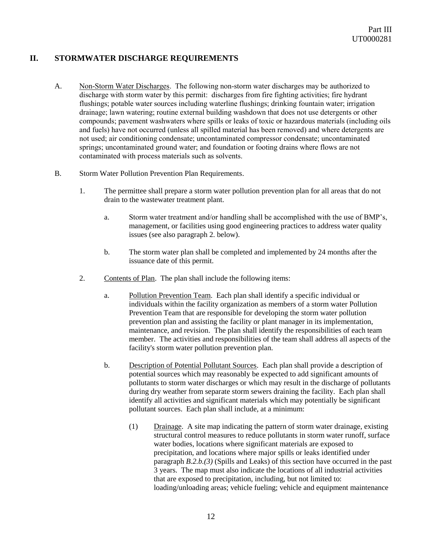# **II. STORMWATER DISCHARGE REQUIREMENTS**

- A. Non-Storm Water Discharges. The following non-storm water discharges may be authorized to discharge with storm water by this permit: discharges from fire fighting activities; fire hydrant flushings; potable water sources including waterline flushings; drinking fountain water; irrigation drainage; lawn watering; routine external building washdown that does not use detergents or other compounds; pavement washwaters where spills or leaks of toxic or hazardous materials (including oils and fuels) have not occurred (unless all spilled material has been removed) and where detergents are not used; air conditioning condensate; uncontaminated compressor condensate; uncontaminated springs; uncontaminated ground water; and foundation or footing drains where flows are not contaminated with process materials such as solvents.
- B. Storm Water Pollution Prevention Plan Requirements.
	- 1. The permittee shall prepare a storm water pollution prevention plan for all areas that do not drain to the wastewater treatment plant.
		- a. Storm water treatment and/or handling shall be accomplished with the use of BMP's, management, or facilities using good engineering practices to address water quality issues (see also paragraph 2. below).
		- b. The storm water plan shall be completed and implemented by 24 months after the issuance date of this permit.
	- 2. Contents of Plan. The plan shall include the following items:
		- a. Pollution Prevention Team. Each plan shall identify a specific individual or individuals within the facility organization as members of a storm water Pollution Prevention Team that are responsible for developing the storm water pollution prevention plan and assisting the facility or plant manager in its implementation, maintenance, and revision. The plan shall identify the responsibilities of each team member. The activities and responsibilities of the team shall address all aspects of the facility's storm water pollution prevention plan.
		- b. Description of Potential Pollutant Sources. Each plan shall provide a description of potential sources which may reasonably be expected to add significant amounts of pollutants to storm water discharges or which may result in the discharge of pollutants during dry weather from separate storm sewers draining the facility. Each plan shall identify all activities and significant materials which may potentially be significant pollutant sources. Each plan shall include, at a minimum:
			- (1) Drainage. A site map indicating the pattern of storm water drainage, existing structural control measures to reduce pollutants in storm water runoff, surface water bodies, locations where significant materials are exposed to precipitation, and locations where major spills or leaks identified under paragraph *B.2.b.(3)* (Spills and Leaks) of this section have occurred in the past 3 years. The map must also indicate the locations of all industrial activities that are exposed to precipitation, including, but not limited to: loading/unloading areas; vehicle fueling; vehicle and equipment maintenance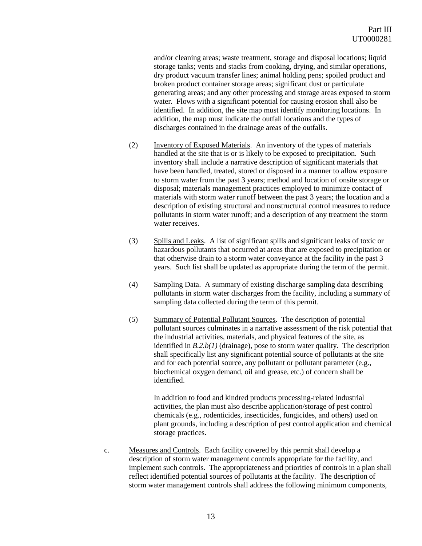and/or cleaning areas; waste treatment, storage and disposal locations; liquid storage tanks; vents and stacks from cooking, drying, and similar operations, dry product vacuum transfer lines; animal holding pens; spoiled product and broken product container storage areas; significant dust or particulate generating areas; and any other processing and storage areas exposed to storm water. Flows with a significant potential for causing erosion shall also be identified. In addition, the site map must identify monitoring locations. In addition, the map must indicate the outfall locations and the types of discharges contained in the drainage areas of the outfalls.

- (2) Inventory of Exposed Materials. An inventory of the types of materials handled at the site that is or is likely to be exposed to precipitation. Such inventory shall include a narrative description of significant materials that have been handled, treated, stored or disposed in a manner to allow exposure to storm water from the past 3 years; method and location of onsite storage or disposal; materials management practices employed to minimize contact of materials with storm water runoff between the past 3 years; the location and a description of existing structural and nonstructural control measures to reduce pollutants in storm water runoff; and a description of any treatment the storm water receives.
- (3) Spills and Leaks. A list of significant spills and significant leaks of toxic or hazardous pollutants that occurred at areas that are exposed to precipitation or that otherwise drain to a storm water conveyance at the facility in the past 3 years. Such list shall be updated as appropriate during the term of the permit.
- (4) Sampling Data. A summary of existing discharge sampling data describing pollutants in storm water discharges from the facility, including a summary of sampling data collected during the term of this permit.
- (5) Summary of Potential Pollutant Sources. The description of potential pollutant sources culminates in a narrative assessment of the risk potential that the industrial activities, materials, and physical features of the site, as identified in *B.2.b(1)* (drainage), pose to storm water quality. The description shall specifically list any significant potential source of pollutants at the site and for each potential source, any pollutant or pollutant parameter (e.g., biochemical oxygen demand, oil and grease, etc.) of concern shall be identified.

In addition to food and kindred products processing-related industrial activities, the plan must also describe application/storage of pest control chemicals (e.g., rodenticides, insecticides, fungicides, and others) used on plant grounds, including a description of pest control application and chemical storage practices.

c. Measures and Controls. Each facility covered by this permit shall develop a description of storm water management controls appropriate for the facility, and implement such controls. The appropriateness and priorities of controls in a plan shall reflect identified potential sources of pollutants at the facility. The description of storm water management controls shall address the following minimum components,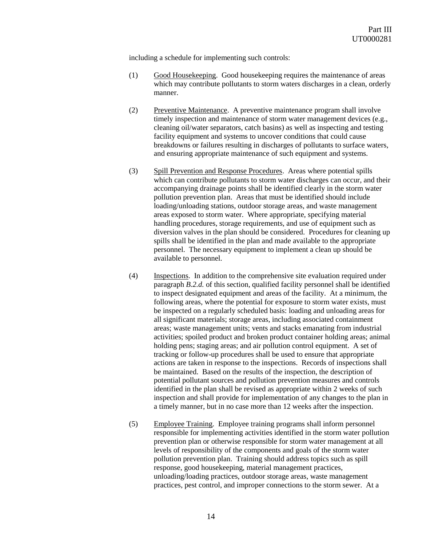including a schedule for implementing such controls:

- (1) Good Housekeeping. Good housekeeping requires the maintenance of areas which may contribute pollutants to storm waters discharges in a clean, orderly manner.
- (2) Preventive Maintenance. A preventive maintenance program shall involve timely inspection and maintenance of storm water management devices (e.g., cleaning oil/water separators, catch basins) as well as inspecting and testing facility equipment and systems to uncover conditions that could cause breakdowns or failures resulting in discharges of pollutants to surface waters, and ensuring appropriate maintenance of such equipment and systems.
- (3) Spill Prevention and Response Procedures. Areas where potential spills which can contribute pollutants to storm water discharges can occur, and their accompanying drainage points shall be identified clearly in the storm water pollution prevention plan. Areas that must be identified should include loading/unloading stations, outdoor storage areas, and waste management areas exposed to storm water. Where appropriate, specifying material handling procedures, storage requirements, and use of equipment such as diversion valves in the plan should be considered. Procedures for cleaning up spills shall be identified in the plan and made available to the appropriate personnel. The necessary equipment to implement a clean up should be available to personnel.
- (4) Inspections. In addition to the comprehensive site evaluation required under paragraph *B.2.d.* of this section, qualified facility personnel shall be identified to inspect designated equipment and areas of the facility. At a minimum, the following areas, where the potential for exposure to storm water exists, must be inspected on a regularly scheduled basis: loading and unloading areas for all significant materials; storage areas, including associated containment areas; waste management units; vents and stacks emanating from industrial activities; spoiled product and broken product container holding areas; animal holding pens; staging areas; and air pollution control equipment. A set of tracking or follow-up procedures shall be used to ensure that appropriate actions are taken in response to the inspections. Records of inspections shall be maintained. Based on the results of the inspection, the description of potential pollutant sources and pollution prevention measures and controls identified in the plan shall be revised as appropriate within 2 weeks of such inspection and shall provide for implementation of any changes to the plan in a timely manner, but in no case more than 12 weeks after the inspection.
- (5) Employee Training. Employee training programs shall inform personnel responsible for implementing activities identified in the storm water pollution prevention plan or otherwise responsible for storm water management at all levels of responsibility of the components and goals of the storm water pollution prevention plan. Training should address topics such as spill response, good housekeeping, material management practices, unloading/loading practices, outdoor storage areas, waste management practices, pest control, and improper connections to the storm sewer. At a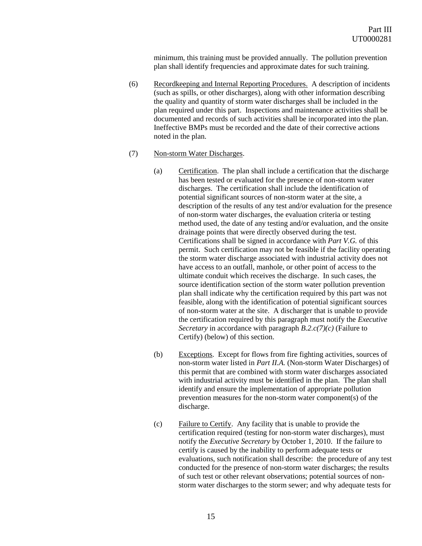minimum, this training must be provided annually. The pollution prevention plan shall identify frequencies and approximate dates for such training.

(6) Recordkeeping and Internal Reporting Procedures. A description of incidents (such as spills, or other discharges), along with other information describing the quality and quantity of storm water discharges shall be included in the plan required under this part. Inspections and maintenance activities shall be documented and records of such activities shall be incorporated into the plan. Ineffective BMPs must be recorded and the date of their corrective actions noted in the plan.

#### (7) Non-storm Water Discharges.

- (a) Certification. The plan shall include a certification that the discharge has been tested or evaluated for the presence of non-storm water discharges. The certification shall include the identification of potential significant sources of non-storm water at the site, a description of the results of any test and/or evaluation for the presence of non-storm water discharges, the evaluation criteria or testing method used, the date of any testing and/or evaluation, and the onsite drainage points that were directly observed during the test. Certifications shall be signed in accordance with *Part V.G.* of this permit. Such certification may not be feasible if the facility operating the storm water discharge associated with industrial activity does not have access to an outfall, manhole, or other point of access to the ultimate conduit which receives the discharge. In such cases, the source identification section of the storm water pollution prevention plan shall indicate why the certification required by this part was not feasible, along with the identification of potential significant sources of non-storm water at the site. A discharger that is unable to provide the certification required by this paragraph must notify the *Executive Secretary* in accordance with paragraph *B.2.c(7)(c)* (Failure to Certify) (below) of this section.
- (b) Exceptions. Except for flows from fire fighting activities, sources of non-storm water listed in *Part II.A.* (Non-storm Water Discharges) of this permit that are combined with storm water discharges associated with industrial activity must be identified in the plan. The plan shall identify and ensure the implementation of appropriate pollution prevention measures for the non-storm water component(s) of the discharge.
- (c) Failure to Certify. Any facility that is unable to provide the certification required (testing for non-storm water discharges), must notify the *Executive Secretary* by October 1, 2010. If the failure to certify is caused by the inability to perform adequate tests or evaluations, such notification shall describe: the procedure of any test conducted for the presence of non-storm water discharges; the results of such test or other relevant observations; potential sources of nonstorm water discharges to the storm sewer; and why adequate tests for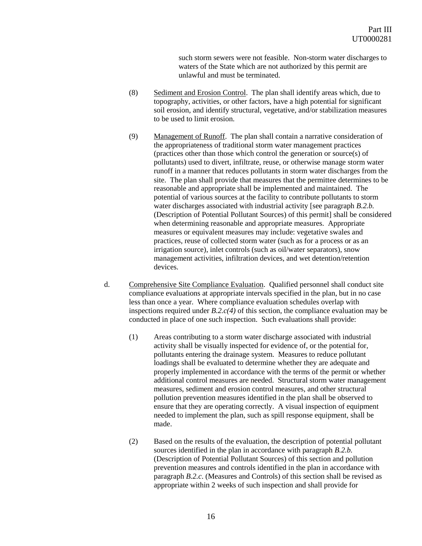such storm sewers were not feasible. Non-storm water discharges to waters of the State which are not authorized by this permit are unlawful and must be terminated.

- (8) Sediment and Erosion Control. The plan shall identify areas which, due to topography, activities, or other factors, have a high potential for significant soil erosion, and identify structural, vegetative, and/or stabilization measures to be used to limit erosion.
- (9) Management of Runoff. The plan shall contain a narrative consideration of the appropriateness of traditional storm water management practices (practices other than those which control the generation or source(s) of pollutants) used to divert, infiltrate, reuse, or otherwise manage storm water runoff in a manner that reduces pollutants in storm water discharges from the site. The plan shall provide that measures that the permittee determines to be reasonable and appropriate shall be implemented and maintained. The potential of various sources at the facility to contribute pollutants to storm water discharges associated with industrial activity [see paragraph *B.2.b.* (Description of Potential Pollutant Sources) of this permit] shall be considered when determining reasonable and appropriate measures. Appropriate measures or equivalent measures may include: vegetative swales and practices, reuse of collected storm water (such as for a process or as an irrigation source), inlet controls (such as oil/water separators), snow management activities, infiltration devices, and wet detention/retention devices.
- d. Comprehensive Site Compliance Evaluation. Qualified personnel shall conduct site compliance evaluations at appropriate intervals specified in the plan, but in no case less than once a year. Where compliance evaluation schedules overlap with inspections required under *B.2.c(4)* of this section, the compliance evaluation may be conducted in place of one such inspection. Such evaluations shall provide:
	- (1) Areas contributing to a storm water discharge associated with industrial activity shall be visually inspected for evidence of, or the potential for, pollutants entering the drainage system. Measures to reduce pollutant loadings shall be evaluated to determine whether they are adequate and properly implemented in accordance with the terms of the permit or whether additional control measures are needed. Structural storm water management measures, sediment and erosion control measures, and other structural pollution prevention measures identified in the plan shall be observed to ensure that they are operating correctly. A visual inspection of equipment needed to implement the plan, such as spill response equipment, shall be made.
	- (2) Based on the results of the evaluation, the description of potential pollutant sources identified in the plan in accordance with paragraph *B.2.b.* (Description of Potential Pollutant Sources) of this section and pollution prevention measures and controls identified in the plan in accordance with paragraph *B.2.c*. (Measures and Controls) of this section shall be revised as appropriate within 2 weeks of such inspection and shall provide for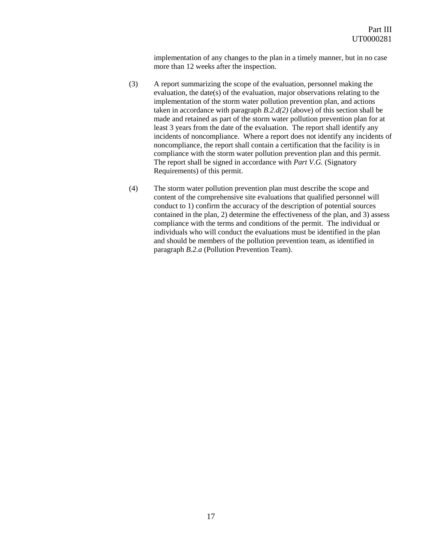implementation of any changes to the plan in a timely manner, but in no case more than 12 weeks after the inspection.

- (3) A report summarizing the scope of the evaluation, personnel making the evaluation, the date(s) of the evaluation, major observations relating to the implementation of the storm water pollution prevention plan, and actions taken in accordance with paragraph *B.2.d(2)* (above) of this section shall be made and retained as part of the storm water pollution prevention plan for at least 3 years from the date of the evaluation. The report shall identify any incidents of noncompliance. Where a report does not identify any incidents of noncompliance, the report shall contain a certification that the facility is in compliance with the storm water pollution prevention plan and this permit. The report shall be signed in accordance with *Part V.G.* (Signatory Requirements) of this permit.
- <span id="page-16-0"></span>(4) The storm water pollution prevention plan must describe the scope and content of the comprehensive site evaluations that qualified personnel will conduct to 1) confirm the accuracy of the description of potential sources contained in the plan, 2) determine the effectiveness of the plan, and 3) assess compliance with the terms and conditions of the permit. The individual or individuals who will conduct the evaluations must be identified in the plan and should be members of the pollution prevention team, as identified in paragraph *B.2.a* (Pollution Prevention Team).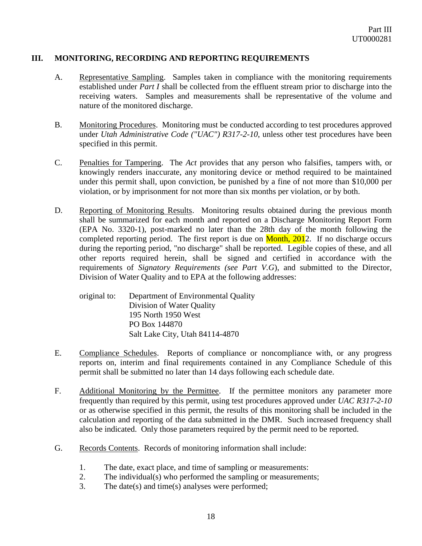## **III. MONITORING, RECORDING AND REPORTING REQUIREMENTS**

- <span id="page-17-0"></span>A. Representative Sampling. Samples taken in compliance with the monitoring requirements established under *Part I* shall be collected from the effluent stream prior to discharge into the receiving waters. Samples and measurements shall be representative of the volume and nature of the monitored discharge.
- <span id="page-17-1"></span>B. Monitoring Procedures. Monitoring must be conducted according to test procedures approved under *Utah Administrative Code ("UAC") R317-2-10*, unless other test procedures have been specified in this permit.
- <span id="page-17-2"></span>C. Penalties for Tampering. The *Act* provides that any person who falsifies, tampers with, or knowingly renders inaccurate, any monitoring device or method required to be maintained under this permit shall, upon conviction, be punished by a fine of not more than \$10,000 per violation, or by imprisonment for not more than six months per violation, or by both.
- <span id="page-17-3"></span>D. Reporting of Monitoring Results. Monitoring results obtained during the previous month shall be summarized for each month and reported on a Discharge Monitoring Report Form (EPA No. 3320-1), post-marked no later than the 28th day of the month following the completed reporting period. The first report is due on  $M$ onth,  $2012$ . If no discharge occurs during the reporting period, "no discharge" shall be reported. Legible copies of these, and all other reports required herein, shall be signed and certified in accordance with the requirements of *Signatory Requirements (see Part V.G*), and submitted to the Director, Division of Water Quality and to EPA at the following addresses:
	- original to: Department of Environmental Quality Division of Water Quality 195 North 1950 West PO Box 144870 Salt Lake City, Utah 84114-4870
- <span id="page-17-4"></span>E. Compliance Schedules. Reports of compliance or noncompliance with, or any progress reports on, interim and final requirements contained in any Compliance Schedule of this permit shall be submitted no later than 14 days following each schedule date.
- <span id="page-17-5"></span>F. Additional Monitoring by the Permittee. If the permittee monitors any parameter more frequently than required by this permit, using test procedures approved under *UAC R317-2-10* or as otherwise specified in this permit, the results of this monitoring shall be included in the calculation and reporting of the data submitted in the DMR. Such increased frequency shall also be indicated. Only those parameters required by the permit need to be reported.
- <span id="page-17-6"></span>G. Records Contents. Records of monitoring information shall include:
	- 1. The date, exact place, and time of sampling or measurements:
	- 2. The individual(s) who performed the sampling or measurements;
	- 3. The date(s) and time(s) analyses were performed;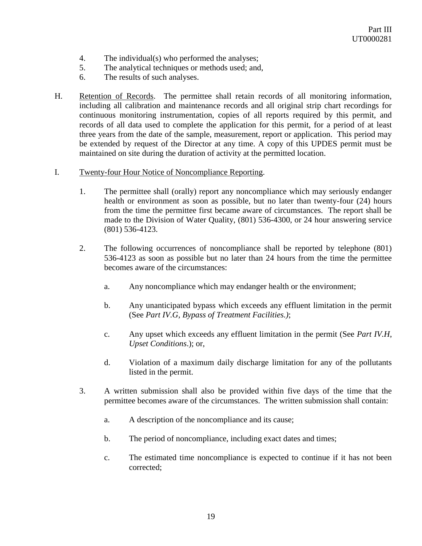- 4. The individual(s) who performed the analyses;
- 5. The analytical techniques or methods used; and,
- 6. The results of such analyses.
- <span id="page-18-0"></span>H. Retention of Records. The permittee shall retain records of all monitoring information, including all calibration and maintenance records and all original strip chart recordings for continuous monitoring instrumentation, copies of all reports required by this permit, and records of all data used to complete the application for this permit, for a period of at least three years from the date of the sample, measurement, report or application. This period may be extended by request of the Director at any time. A copy of this UPDES permit must be maintained on site during the duration of activity at the permitted location.
- <span id="page-18-1"></span>I. Twenty-four Hour Notice of Noncompliance Reporting.
	- 1. The permittee shall (orally) report any noncompliance which may seriously endanger health or environment as soon as possible, but no later than twenty-four (24) hours from the time the permittee first became aware of circumstances. The report shall be made to the Division of Water Quality, (801) 536-4300, or 24 hour answering service (801) 536-4123.
	- 2. The following occurrences of noncompliance shall be reported by telephone (801) 536-4123 as soon as possible but no later than 24 hours from the time the permittee becomes aware of the circumstances:
		- a. Any noncompliance which may endanger health or the environment;
		- b. Any unanticipated bypass which exceeds any effluent limitation in the permit (See *Part IV.G, Bypass of Treatment Facilities.)*;
		- c. Any upset which exceeds any effluent limitation in the permit (See *Part IV.H*, *Upset Conditions*.); or,
		- d. Violation of a maximum daily discharge limitation for any of the pollutants listed in the permit.
	- 3. A written submission shall also be provided within five days of the time that the permittee becomes aware of the circumstances. The written submission shall contain:
		- a. A description of the noncompliance and its cause;
		- b. The period of noncompliance, including exact dates and times;
		- c. The estimated time noncompliance is expected to continue if it has not been corrected;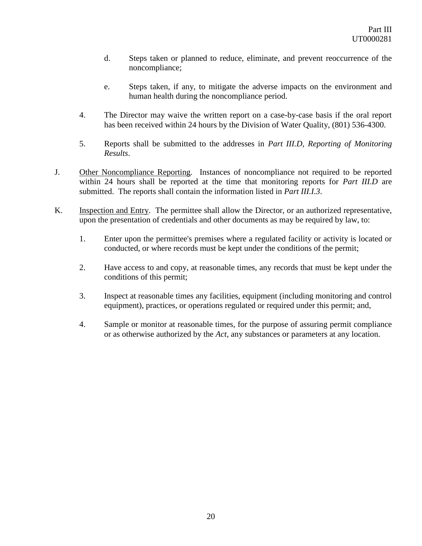- d. Steps taken or planned to reduce, eliminate, and prevent reoccurrence of the noncompliance;
- e. Steps taken, if any, to mitigate the adverse impacts on the environment and human health during the noncompliance period.
- 4. The Director may waive the written report on a case-by-case basis if the oral report has been received within 24 hours by the Division of Water Quality, (801) 536-4300.
- 5. Reports shall be submitted to the addresses in *Part III.D*, *Reporting of Monitoring Results*.
- <span id="page-19-0"></span>J. Other Noncompliance Reporting. Instances of noncompliance not required to be reported within 24 hours shall be reported at the time that monitoring reports for *Part III.D* are submitted. The reports shall contain the information listed in *Part III.I.3*.
- <span id="page-19-1"></span>K. Inspection and Entry. The permittee shall allow the Director, or an authorized representative, upon the presentation of credentials and other documents as may be required by law, to:
	- 1. Enter upon the permittee's premises where a regulated facility or activity is located or conducted, or where records must be kept under the conditions of the permit;
	- 2. Have access to and copy, at reasonable times, any records that must be kept under the conditions of this permit;
	- 3. Inspect at reasonable times any facilities, equipment (including monitoring and control equipment), practices, or operations regulated or required under this permit; and,
	- 4. Sample or monitor at reasonable times, for the purpose of assuring permit compliance or as otherwise authorized by the *Act*, any substances or parameters at any location.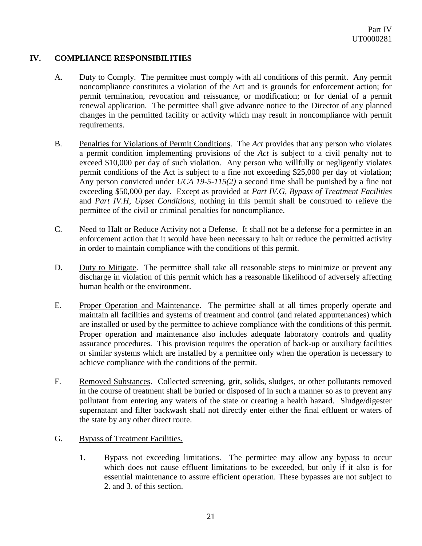# **IV. COMPLIANCE RESPONSIBILITIES**

- <span id="page-20-0"></span>A. Duty to Comply. The permittee must comply with all conditions of this permit. Any permit noncompliance constitutes a violation of the Act and is grounds for enforcement action; for permit termination, revocation and reissuance, or modification; or for denial of a permit renewal application. The permittee shall give advance notice to the Director of any planned changes in the permitted facility or activity which may result in noncompliance with permit requirements.
- <span id="page-20-1"></span>B. Penalties for Violations of Permit Conditions. The *Act* provides that any person who violates a permit condition implementing provisions of the *Act* is subject to a civil penalty not to exceed \$10,000 per day of such violation. Any person who willfully or negligently violates permit conditions of the Act is subject to a fine not exceeding \$25,000 per day of violation; Any person convicted under *UCA 19-5-115(2)* a second time shall be punished by a fine not exceeding \$50,000 per day. Except as provided at *Part IV.G*, *Bypass of Treatment Facilities* and *Part IV.H*, *Upset Conditions*, nothing in this permit shall be construed to relieve the permittee of the civil or criminal penalties for noncompliance.
- <span id="page-20-2"></span>C. Need to Halt or Reduce Activity not a Defense. It shall not be a defense for a permittee in an enforcement action that it would have been necessary to halt or reduce the permitted activity in order to maintain compliance with the conditions of this permit.
- <span id="page-20-3"></span>D. Duty to Mitigate. The permittee shall take all reasonable steps to minimize or prevent any discharge in violation of this permit which has a reasonable likelihood of adversely affecting human health or the environment.
- <span id="page-20-4"></span>E. Proper Operation and Maintenance. The permittee shall at all times properly operate and maintain all facilities and systems of treatment and control (and related appurtenances) which are installed or used by the permittee to achieve compliance with the conditions of this permit. Proper operation and maintenance also includes adequate laboratory controls and quality assurance procedures. This provision requires the operation of back-up or auxiliary facilities or similar systems which are installed by a permittee only when the operation is necessary to achieve compliance with the conditions of the permit.
- <span id="page-20-5"></span>F. Removed Substances. Collected screening, grit, solids, sludges, or other pollutants removed in the course of treatment shall be buried or disposed of in such a manner so as to prevent any pollutant from entering any waters of the state or creating a health hazard. Sludge/digester supernatant and filter backwash shall not directly enter either the final effluent or waters of the state by any other direct route.
- <span id="page-20-6"></span>G. Bypass of Treatment Facilities.
	- 1. Bypass not exceeding limitations. The permittee may allow any bypass to occur which does not cause effluent limitations to be exceeded, but only if it also is for essential maintenance to assure efficient operation. These bypasses are not subject to 2. and 3. of this section.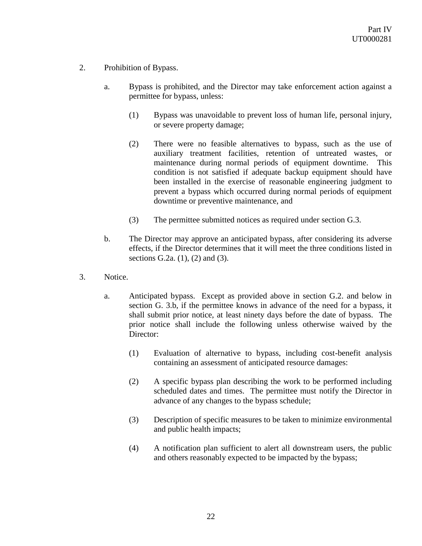- 2. Prohibition of Bypass.
	- a. Bypass is prohibited, and the Director may take enforcement action against a permittee for bypass, unless:
		- (1) Bypass was unavoidable to prevent loss of human life, personal injury, or severe property damage;
		- (2) There were no feasible alternatives to bypass, such as the use of auxiliary treatment facilities, retention of untreated wastes, or maintenance during normal periods of equipment downtime. This condition is not satisfied if adequate backup equipment should have been installed in the exercise of reasonable engineering judgment to prevent a bypass which occurred during normal periods of equipment downtime or preventive maintenance, and
		- (3) The permittee submitted notices as required under section G.3.
	- b. The Director may approve an anticipated bypass, after considering its adverse effects, if the Director determines that it will meet the three conditions listed in sections G.2a. (1), (2) and (3).
- 3. Notice.
	- a. Anticipated bypass. Except as provided above in section G.2. and below in section G. 3.b, if the permittee knows in advance of the need for a bypass, it shall submit prior notice, at least ninety days before the date of bypass. The prior notice shall include the following unless otherwise waived by the Director:
		- (1) Evaluation of alternative to bypass, including cost-benefit analysis containing an assessment of anticipated resource damages:
		- (2) A specific bypass plan describing the work to be performed including scheduled dates and times. The permittee must notify the Director in advance of any changes to the bypass schedule;
		- (3) Description of specific measures to be taken to minimize environmental and public health impacts;
		- (4) A notification plan sufficient to alert all downstream users, the public and others reasonably expected to be impacted by the bypass;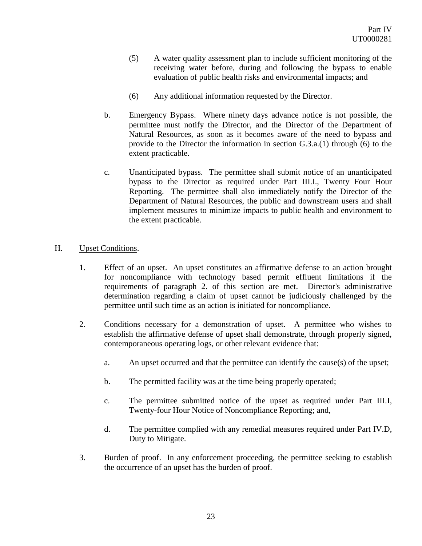- (5) A water quality assessment plan to include sufficient monitoring of the receiving water before, during and following the bypass to enable evaluation of public health risks and environmental impacts; and
- (6) Any additional information requested by the Director.
- b. Emergency Bypass. Where ninety days advance notice is not possible, the permittee must notify the Director, and the Director of the Department of Natural Resources, as soon as it becomes aware of the need to bypass and provide to the Director the information in section G.3.a.(1) through (6) to the extent practicable.
- c. Unanticipated bypass. The permittee shall submit notice of an unanticipated bypass to the Director as required under Part III.I., Twenty Four Hour Reporting. The permittee shall also immediately notify the Director of the Department of Natural Resources, the public and downstream users and shall implement measures to minimize impacts to public health and environment to the extent practicable.

## <span id="page-22-0"></span>H. Upset Conditions.

- 1. Effect of an upset. An upset constitutes an affirmative defense to an action brought for noncompliance with technology based permit effluent limitations if the requirements of paragraph 2. of this section are met. Director's administrative determination regarding a claim of upset cannot be judiciously challenged by the permittee until such time as an action is initiated for noncompliance.
- 2. Conditions necessary for a demonstration of upset. A permittee who wishes to establish the affirmative defense of upset shall demonstrate, through properly signed, contemporaneous operating logs, or other relevant evidence that:
	- a. An upset occurred and that the permittee can identify the cause(s) of the upset;
	- b. The permitted facility was at the time being properly operated;
	- c. The permittee submitted notice of the upset as required under Part III.I, Twenty-four Hour Notice of Noncompliance Reporting; and,
	- d. The permittee complied with any remedial measures required under Part IV.D, Duty to Mitigate.
- 3. Burden of proof. In any enforcement proceeding, the permittee seeking to establish the occurrence of an upset has the burden of proof.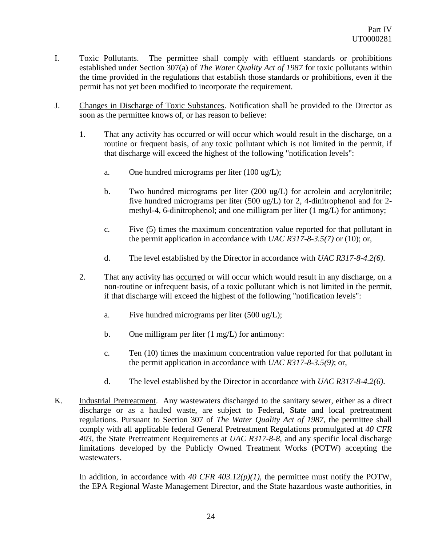- <span id="page-23-0"></span>I. Toxic Pollutants. The permittee shall comply with effluent standards or prohibitions established under Section 307(a) of *The Water Quality Act of 1987* for toxic pollutants within the time provided in the regulations that establish those standards or prohibitions, even if the permit has not yet been modified to incorporate the requirement.
- <span id="page-23-1"></span>J. Changes in Discharge of Toxic Substances. Notification shall be provided to the Director as soon as the permittee knows of, or has reason to believe:
	- 1. That any activity has occurred or will occur which would result in the discharge, on a routine or frequent basis, of any toxic pollutant which is not limited in the permit, if that discharge will exceed the highest of the following "notification levels":
		- a. One hundred micrograms per liter (100 ug/L);
		- b. Two hundred micrograms per liter (200 ug/L) for acrolein and acrylonitrile; five hundred micrograms per liter (500 ug/L) for 2, 4-dinitrophenol and for 2 methyl-4, 6-dinitrophenol; and one milligram per liter (1 mg/L) for antimony;
		- c. Five (5) times the maximum concentration value reported for that pollutant in the permit application in accordance with *UAC R317-8-3.5(7)* or (10); or,
		- d. The level established by the Director in accordance with *UAC R317-8-4.2(6)*.
	- 2. That any activity has occurred or will occur which would result in any discharge, on a non-routine or infrequent basis, of a toxic pollutant which is not limited in the permit, if that discharge will exceed the highest of the following "notification levels":
		- a. Five hundred micrograms per liter (500 ug/L);
		- b. One milligram per liter (1 mg/L) for antimony:
		- c. Ten (10) times the maximum concentration value reported for that pollutant in the permit application in accordance with *UAC R317-8-3.5(9)*; or,
		- d. The level established by the Director in accordance with *UAC R317-8-4.2(6)*.
- <span id="page-23-2"></span>K. Industrial Pretreatment. Any wastewaters discharged to the sanitary sewer, either as a direct discharge or as a hauled waste, are subject to Federal, State and local pretreatment regulations. Pursuant to Section 307 of *The Water Quality Act of 1987*, the permittee shall comply with all applicable federal General Pretreatment Regulations promulgated at *40 CFR 403*, the State Pretreatment Requirements at *UAC R317-8-8*, and any specific local discharge limitations developed by the Publicly Owned Treatment Works (POTW) accepting the wastewaters.

In addition, in accordance with  $40 \text{ CFR } 403.12(p)/1$ , the permittee must notify the POTW, the EPA Regional Waste Management Director, and the State hazardous waste authorities, in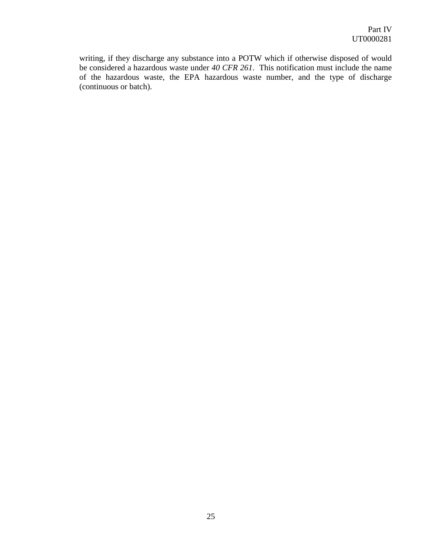writing, if they discharge any substance into a POTW which if otherwise disposed of would be considered a hazardous waste under *40 CFR 261*. This notification must include the name of the hazardous waste, the EPA hazardous waste number, and the type of discharge (continuous or batch).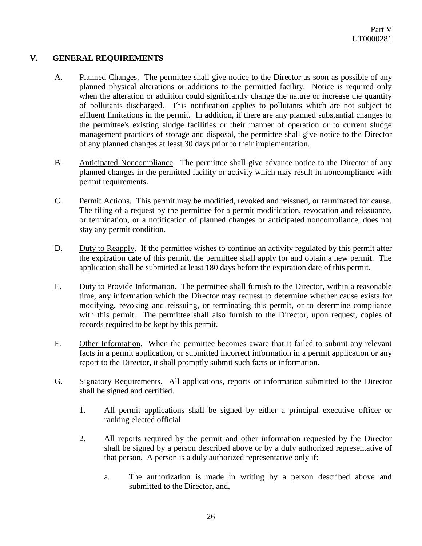## **V. GENERAL REQUIREMENTS**

- <span id="page-25-0"></span>A. Planned Changes. The permittee shall give notice to the Director as soon as possible of any planned physical alterations or additions to the permitted facility. Notice is required only when the alteration or addition could significantly change the nature or increase the quantity of pollutants discharged. This notification applies to pollutants which are not subject to effluent limitations in the permit. In addition, if there are any planned substantial changes to the permittee's existing sludge facilities or their manner of operation or to current sludge management practices of storage and disposal, the permittee shall give notice to the Director of any planned changes at least 30 days prior to their implementation.
- <span id="page-25-1"></span>B. Anticipated Noncompliance. The permittee shall give advance notice to the Director of any planned changes in the permitted facility or activity which may result in noncompliance with permit requirements.
- <span id="page-25-2"></span>C. Permit Actions. This permit may be modified, revoked and reissued, or terminated for cause. The filing of a request by the permittee for a permit modification, revocation and reissuance, or termination, or a notification of planned changes or anticipated noncompliance, does not stay any permit condition.
- <span id="page-25-3"></span>D. Duty to Reapply. If the permittee wishes to continue an activity regulated by this permit after the expiration date of this permit, the permittee shall apply for and obtain a new permit. The application shall be submitted at least 180 days before the expiration date of this permit.
- <span id="page-25-4"></span>E. Duty to Provide Information. The permittee shall furnish to the Director, within a reasonable time, any information which the Director may request to determine whether cause exists for modifying, revoking and reissuing, or terminating this permit, or to determine compliance with this permit. The permittee shall also furnish to the Director, upon request, copies of records required to be kept by this permit.
- <span id="page-25-5"></span>F. Other Information. When the permittee becomes aware that it failed to submit any relevant facts in a permit application, or submitted incorrect information in a permit application or any report to the Director, it shall promptly submit such facts or information.
- <span id="page-25-6"></span>G. Signatory Requirements. All applications, reports or information submitted to the Director shall be signed and certified.
	- 1. All permit applications shall be signed by either a principal executive officer or ranking elected official
	- 2. All reports required by the permit and other information requested by the Director shall be signed by a person described above or by a duly authorized representative of that person. A person is a duly authorized representative only if:
		- a. The authorization is made in writing by a person described above and submitted to the Director, and,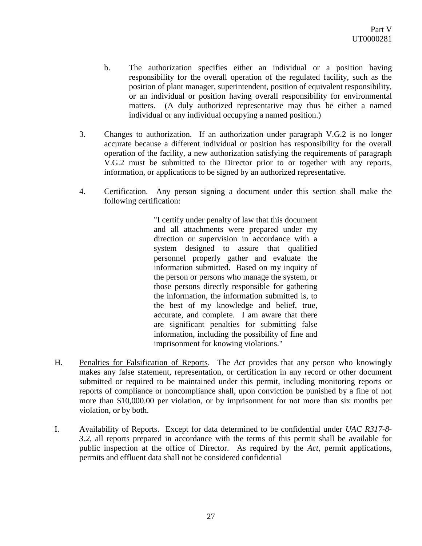- b. The authorization specifies either an individual or a position having responsibility for the overall operation of the regulated facility, such as the position of plant manager, superintendent, position of equivalent responsibility, or an individual or position having overall responsibility for environmental matters. (A duly authorized representative may thus be either a named individual or any individual occupying a named position.)
- 3. Changes to authorization. If an authorization under paragraph V.G.2 is no longer accurate because a different individual or position has responsibility for the overall operation of the facility, a new authorization satisfying the requirements of paragraph V.G.2 must be submitted to the Director prior to or together with any reports, information, or applications to be signed by an authorized representative.
- 4. Certification. Any person signing a document under this section shall make the following certification:

"I certify under penalty of law that this document and all attachments were prepared under my direction or supervision in accordance with a system designed to assure that qualified personnel properly gather and evaluate the information submitted. Based on my inquiry of the person or persons who manage the system, or those persons directly responsible for gathering the information, the information submitted is, to the best of my knowledge and belief, true, accurate, and complete. I am aware that there are significant penalties for submitting false information, including the possibility of fine and imprisonment for knowing violations."

- <span id="page-26-0"></span>H. Penalties for Falsification of Reports. The *Act* provides that any person who knowingly makes any false statement, representation, or certification in any record or other document submitted or required to be maintained under this permit, including monitoring reports or reports of compliance or noncompliance shall, upon conviction be punished by a fine of not more than \$10,000.00 per violation, or by imprisonment for not more than six months per violation, or by both.
- <span id="page-26-1"></span>I. Availability of Reports. Except for data determined to be confidential under *UAC R317-8- 3.2*, all reports prepared in accordance with the terms of this permit shall be available for public inspection at the office of Director. As required by the *Act*, permit applications, permits and effluent data shall not be considered confidential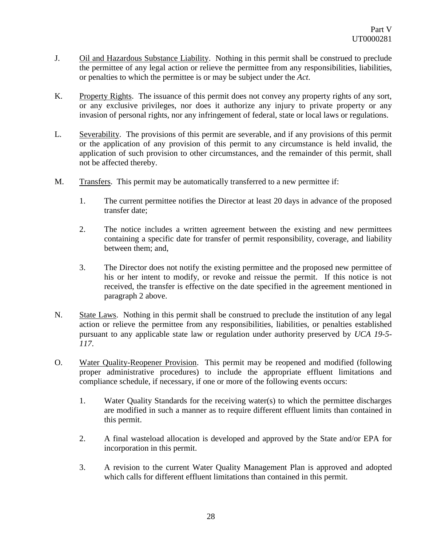- <span id="page-27-0"></span>J. Oil and Hazardous Substance Liability. Nothing in this permit shall be construed to preclude the permittee of any legal action or relieve the permittee from any responsibilities, liabilities, or penalties to which the permittee is or may be subject under the *Act*.
- <span id="page-27-1"></span>K. Property Rights. The issuance of this permit does not convey any property rights of any sort, or any exclusive privileges, nor does it authorize any injury to private property or any invasion of personal rights, nor any infringement of federal, state or local laws or regulations.
- <span id="page-27-2"></span>L. Severability. The provisions of this permit are severable, and if any provisions of this permit or the application of any provision of this permit to any circumstance is held invalid, the application of such provision to other circumstances, and the remainder of this permit, shall not be affected thereby.
- <span id="page-27-3"></span>M. Transfers. This permit may be automatically transferred to a new permittee if:
	- 1. The current permittee notifies the Director at least 20 days in advance of the proposed transfer date;
	- 2. The notice includes a written agreement between the existing and new permittees containing a specific date for transfer of permit responsibility, coverage, and liability between them; and,
	- 3. The Director does not notify the existing permittee and the proposed new permittee of his or her intent to modify, or revoke and reissue the permit. If this notice is not received, the transfer is effective on the date specified in the agreement mentioned in paragraph 2 above.
- <span id="page-27-4"></span>N. State Laws. Nothing in this permit shall be construed to preclude the institution of any legal action or relieve the permittee from any responsibilities, liabilities, or penalties established pursuant to any applicable state law or regulation under authority preserved by *UCA 19-5- 117*.
- <span id="page-27-5"></span>O. Water Quality-Reopener Provision. This permit may be reopened and modified (following proper administrative procedures) to include the appropriate effluent limitations and compliance schedule, if necessary, if one or more of the following events occurs:
	- 1. Water Quality Standards for the receiving water(s) to which the permittee discharges are modified in such a manner as to require different effluent limits than contained in this permit.
	- 2. A final wasteload allocation is developed and approved by the State and/or EPA for incorporation in this permit.
	- 3. A revision to the current Water Quality Management Plan is approved and adopted which calls for different effluent limitations than contained in this permit.